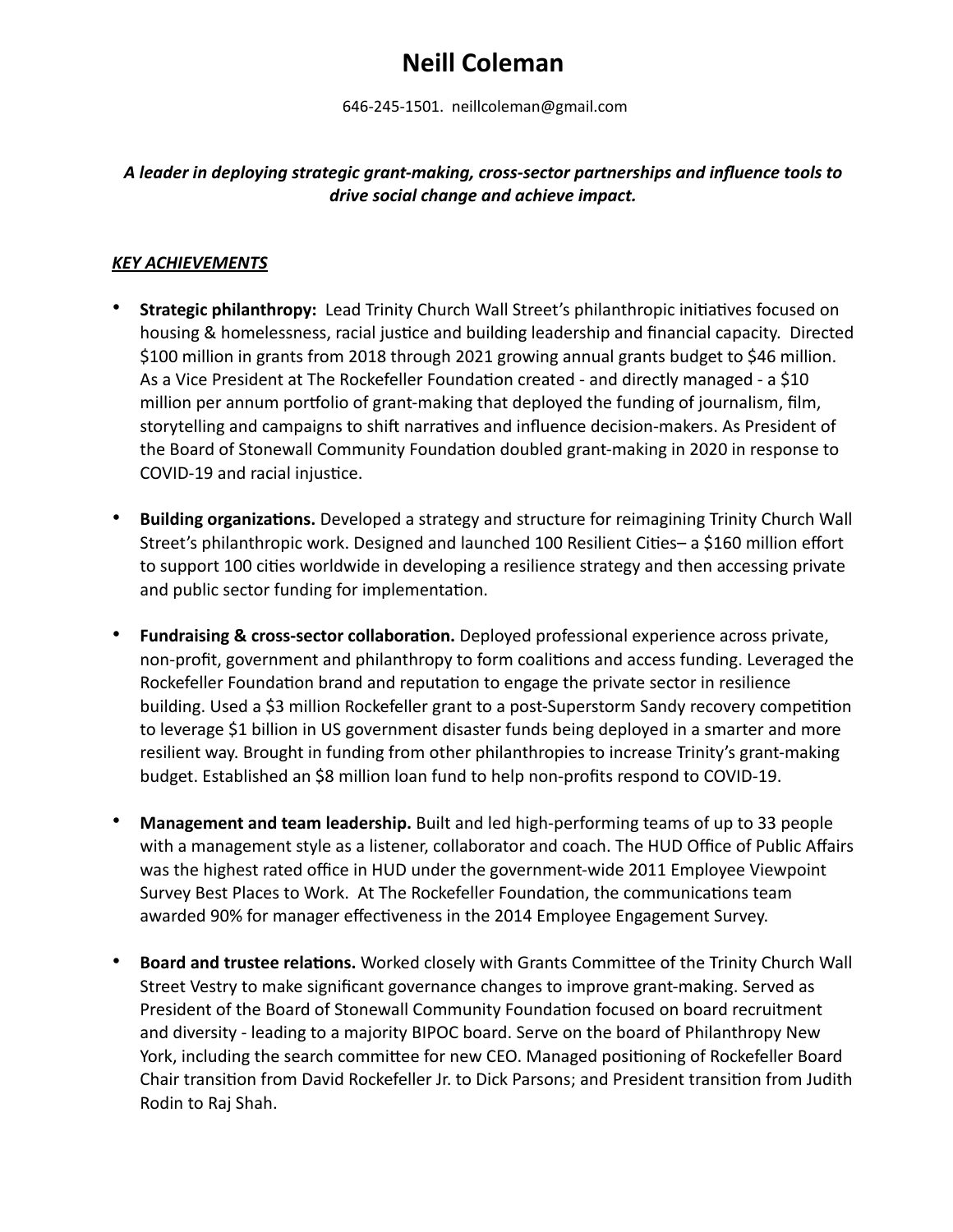# **Neill Coleman**

646-245-1501. neillcoleman@gmail.com

## *A leader in deploying strategic grant-making, cross-sector partnerships and influence tools to drive social change and achieve impact.*

#### *KEY ACHIEVEMENTS*

- **Strategic philanthropy:** Lead Trinity Church Wall Street's philanthropic initiatives focused on housing & homelessness, racial justice and building leadership and financial capacity. Directed \$100 million in grants from 2018 through 2021 growing annual grants budget to \$46 million. As a Vice President at The Rockefeller Foundation created - and directly managed - a \$10 million per annum portfolio of grant-making that deployed the funding of journalism, film, storytelling and campaigns to shift narratives and influence decision-makers. As President of the Board of Stonewall Community Foundation doubled grant-making in 2020 in response to COVID-19 and racial injustice.
- **Building organizations.** Developed a strategy and structure for reimagining Trinity Church Wall Street's philanthropic work. Designed and launched 100 Resilient Cities– a \$160 million effort to support 100 cities worldwide in developing a resilience strategy and then accessing private and public sector funding for implementation.
- **Fundraising & cross-sector collaboration.** Deployed professional experience across private, non-profit, government and philanthropy to form coalitions and access funding. Leveraged the Rockefeller Foundation brand and reputation to engage the private sector in resilience building. Used a \$3 million Rockefeller grant to a post-Superstorm Sandy recovery competition to leverage \$1 billion in US government disaster funds being deployed in a smarter and more resilient way. Brought in funding from other philanthropies to increase Trinity's grant-making budget. Established an \$8 million loan fund to help non-profits respond to COVID-19.
- **Management and team leadership.** Built and led high-performing teams of up to 33 people with a management style as a listener, collaborator and coach. The HUD Office of Public Affairs was the highest rated office in HUD under the government-wide 2011 Employee Viewpoint Survey Best Places to Work. At The Rockefeller Foundation, the communications team awarded 90% for manager effectiveness in the 2014 Employee Engagement Survey.
- **Board and trustee relations.** Worked closely with Grants Committee of the Trinity Church Wall Street Vestry to make significant governance changes to improve grant-making. Served as President of the Board of Stonewall Community Foundation focused on board recruitment and diversity - leading to a majority BIPOC board. Serve on the board of Philanthropy New York, including the search committee for new CEO. Managed positioning of Rockefeller Board Chair transition from David Rockefeller Jr. to Dick Parsons; and President transition from Judith Rodin to Raj Shah.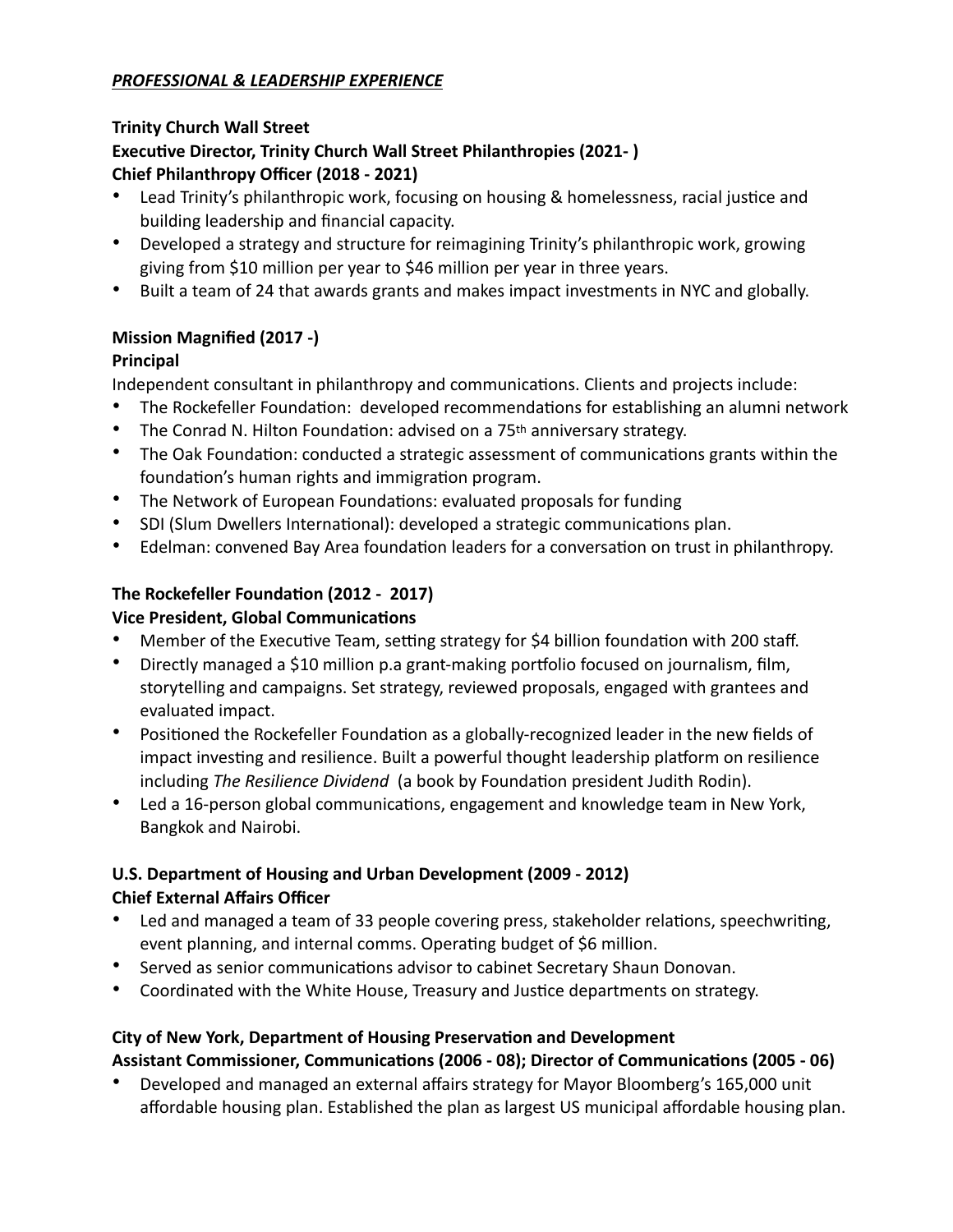## *PROFESSIONAL & LEADERSHIP EXPERIENCE*

## **Trinity Church Wall Street Executive Director, Trinity Church Wall Street Philanthropies (2021- ) Chief Philanthropy Officer (2018 - 2021)**

- Lead Trinity's philanthropic work, focusing on housing & homelessness, racial justice and building leadership and financial capacity.
- Developed a strategy and structure for reimagining Trinity's philanthropic work, growing giving from \$10 million per year to \$46 million per year in three years.
- Built a team of 24 that awards grants and makes impact investments in NYC and globally.

# **Mission Magnified (2017 -)**

# **Principal**

Independent consultant in philanthropy and communications. Clients and projects include:

- The Rockefeller Foundation: developed recommendations for establishing an alumni network
- The Conrad N. Hilton Foundation: advised on a 75<sup>th</sup> anniversary strategy.
- The Oak Foundation: conducted a strategic assessment of communications grants within the foundation's human rights and immigration program.
- The Network of European Foundations: evaluated proposals for funding
- SDI (Slum Dwellers International): developed a strategic communications plan.
- Edelman: convened Bay Area foundation leaders for a conversation on trust in philanthropy.

# **The Rockefeller Foundation (2012 - 2017)**

# **Vice President, Global Communications**

- Member of the Executive Team, setting strategy for \$4 billion foundation with 200 staff.
- Directly managed a \$10 million p.a grant-making portfolio focused on journalism, film, storytelling and campaigns. Set strategy, reviewed proposals, engaged with grantees and evaluated impact.
- Positioned the Rockefeller Foundation as a globally-recognized leader in the new fields of impact investing and resilience. Built a powerful thought leadership platform on resilience including *The Resilience Dividend* (a book by Foundation president Judith Rodin).
- Led a 16-person global communications, engagement and knowledge team in New York, Bangkok and Nairobi.

# **U.S. Department of Housing and Urban Development (2009 - 2012) Chief External Affairs Officer**

- Led and managed a team of 33 people covering press, stakeholder relations, speechwriting, event planning, and internal comms. Operating budget of \$6 million.
- Served as senior communications advisor to cabinet Secretary Shaun Donovan.
- Coordinated with the White House, Treasury and Justice departments on strategy.

# **City of New York, Department of Housing Preservation and Development Assistant Commissioner, Communications (2006 - 08); Director of Communications (2005 - 06)**

• Developed and managed an external affairs strategy for Mayor Bloomberg's 165,000 unit affordable housing plan. Established the plan as largest US municipal affordable housing plan.